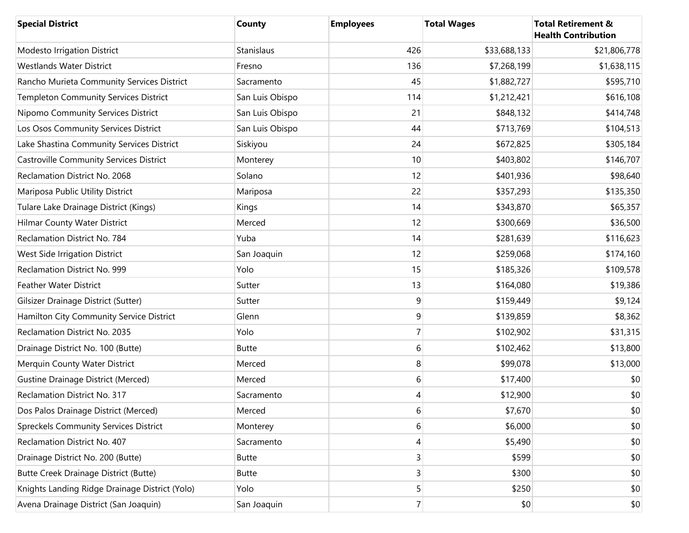| <b>Special District</b>                        | County          | <b>Employees</b> | <b>Total Wages</b> | <b>Total Retirement &amp;</b><br><b>Health Contribution</b> |
|------------------------------------------------|-----------------|------------------|--------------------|-------------------------------------------------------------|
| Modesto Irrigation District                    | Stanislaus      | 426              | \$33,688,133       | \$21,806,778                                                |
| <b>Westlands Water District</b>                | Fresno          | 136              | \$7,268,199        | \$1,638,115                                                 |
| Rancho Murieta Community Services District     | Sacramento      | 45               | \$1,882,727        | \$595,710                                                   |
| Templeton Community Services District          | San Luis Obispo | 114              | \$1,212,421        | \$616,108                                                   |
| Nipomo Community Services District             | San Luis Obispo | 21               | \$848,132          | \$414,748                                                   |
| Los Osos Community Services District           | San Luis Obispo | 44               | \$713,769          | \$104,513                                                   |
| Lake Shastina Community Services District      | Siskiyou        | 24               | \$672,825          | \$305,184                                                   |
| <b>Castroville Community Services District</b> | Monterey        | 10               | \$403,802          | \$146,707                                                   |
| Reclamation District No. 2068                  | Solano          | 12               | \$401,936          | \$98,640                                                    |
| Mariposa Public Utility District               | Mariposa        | 22               | \$357,293          | \$135,350                                                   |
| Tulare Lake Drainage District (Kings)          | Kings           | 14               | \$343,870          | \$65,357                                                    |
| Hilmar County Water District                   | Merced          | 12               | \$300,669          | \$36,500                                                    |
| Reclamation District No. 784                   | Yuba            | 14               | \$281,639          | \$116,623                                                   |
| West Side Irrigation District                  | San Joaquin     | 12               | \$259,068          | \$174,160                                                   |
| Reclamation District No. 999                   | Yolo            | 15               | \$185,326          | \$109,578                                                   |
| <b>Feather Water District</b>                  | Sutter          | 13               | \$164,080          | \$19,386                                                    |
| Gilsizer Drainage District (Sutter)            | Sutter          | 9                | \$159,449          | \$9,124                                                     |
| Hamilton City Community Service District       | Glenn           | 9                | \$139,859          | \$8,362                                                     |
| Reclamation District No. 2035                  | Yolo            | 7                | \$102,902          | \$31,315                                                    |
| Drainage District No. 100 (Butte)              | <b>Butte</b>    | 6                | \$102,462          | \$13,800                                                    |
| Merquin County Water District                  | Merced          | 8                | \$99,078           | \$13,000                                                    |
| <b>Gustine Drainage District (Merced)</b>      | Merced          | 6                | \$17,400           | \$0                                                         |
| Reclamation District No. 317                   | Sacramento      | 4                | \$12,900           | \$0                                                         |
| Dos Palos Drainage District (Merced)           | Merced          | 6                | \$7,670            | \$0                                                         |
| Spreckels Community Services District          | Monterey        | 6                | \$6,000            | \$0                                                         |
| Reclamation District No. 407                   | Sacramento      | 4                | \$5,490            | \$0                                                         |
| Drainage District No. 200 (Butte)              | <b>Butte</b>    | $\overline{3}$   | \$599              | \$0                                                         |
| <b>Butte Creek Drainage District (Butte)</b>   | <b>Butte</b>    | 3                | \$300              | \$0                                                         |
| Knights Landing Ridge Drainage District (Yolo) | Yolo            | 5                | \$250              | \$0                                                         |
| Avena Drainage District (San Joaquin)          | San Joaquin     | $7\vert$         | \$0                | \$0                                                         |